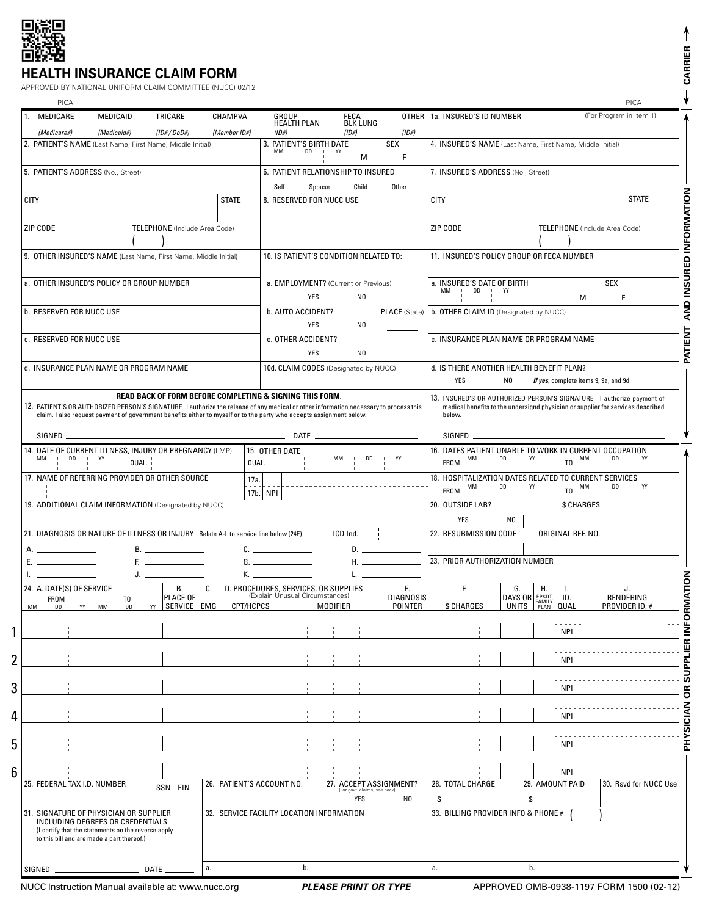

## **HEALTH INSURANCE CLAIM FORM**

| PICA<br>MEDICARE<br>TRICARE<br>CHAMPVA<br>OTHER   1a. INSURED'S ID NUMBER<br>MEDICAID<br>GROUP<br><b>FECA</b><br><b>BLK LUNG</b><br><b>HEALTH PLAN</b><br>(1D# / DoD#)<br>$(1D\#)$<br>$(1D\#)$<br>(Medicare#)<br>(Medicaid#)<br>(Member ID#)<br>(1D#)<br><b>SEX</b><br>2. PATIENT'S NAME (Last Name, First Name, Middle Initial)<br>3. PATIENT'S BIRTH DATE<br>4. INSURED'S NAME (Last Name, First Name, Middle Initial)<br>DD<br>MМ<br>$\mathbf{I}$<br>$\mathbf{I}$<br>YY<br>F.<br>M<br>6. PATIENT RELATIONSHIP TO INSURED<br>5. PATIENT'S ADDRESS (No., Street)<br>7. INSURED'S ADDRESS (No., Street)<br>Self<br>Child<br>Spouse<br>Other<br><b>CITY</b><br><b>STATE</b><br>8. RESERVED FOR NUCC USE<br><b>CITY</b><br>ZIP CODE<br>TELEPHONE (Include Area Code)<br>ZIP CODE<br>9. OTHER INSURED'S NAME (Last Name, First Name, Middle Initial)<br>10. IS PATIENT'S CONDITION RELATED TO:<br>11. INSURED'S POLICY GROUP OR FECA NUMBER |                                       | PICA<br>(For Program in Item 1)<br><b>STATE</b>               |
|------------------------------------------------------------------------------------------------------------------------------------------------------------------------------------------------------------------------------------------------------------------------------------------------------------------------------------------------------------------------------------------------------------------------------------------------------------------------------------------------------------------------------------------------------------------------------------------------------------------------------------------------------------------------------------------------------------------------------------------------------------------------------------------------------------------------------------------------------------------------------------------------------------------------------------------|---------------------------------------|---------------------------------------------------------------|
|                                                                                                                                                                                                                                                                                                                                                                                                                                                                                                                                                                                                                                                                                                                                                                                                                                                                                                                                          |                                       |                                                               |
|                                                                                                                                                                                                                                                                                                                                                                                                                                                                                                                                                                                                                                                                                                                                                                                                                                                                                                                                          |                                       |                                                               |
|                                                                                                                                                                                                                                                                                                                                                                                                                                                                                                                                                                                                                                                                                                                                                                                                                                                                                                                                          |                                       |                                                               |
|                                                                                                                                                                                                                                                                                                                                                                                                                                                                                                                                                                                                                                                                                                                                                                                                                                                                                                                                          |                                       |                                                               |
|                                                                                                                                                                                                                                                                                                                                                                                                                                                                                                                                                                                                                                                                                                                                                                                                                                                                                                                                          |                                       |                                                               |
|                                                                                                                                                                                                                                                                                                                                                                                                                                                                                                                                                                                                                                                                                                                                                                                                                                                                                                                                          |                                       |                                                               |
|                                                                                                                                                                                                                                                                                                                                                                                                                                                                                                                                                                                                                                                                                                                                                                                                                                                                                                                                          |                                       | TELEPHONE (Include Area Code)                                 |
|                                                                                                                                                                                                                                                                                                                                                                                                                                                                                                                                                                                                                                                                                                                                                                                                                                                                                                                                          |                                       |                                                               |
|                                                                                                                                                                                                                                                                                                                                                                                                                                                                                                                                                                                                                                                                                                                                                                                                                                                                                                                                          |                                       |                                                               |
| a. OTHER INSURED'S POLICY OR GROUP NUMBER<br>a. EMPLOYMENT? (Current or Previous)<br>a. INSURED'S DATE OF BIRTH<br>MM<br>DD<br>$\mathsf{Y}$<br>$\mathbf{I}$                                                                                                                                                                                                                                                                                                                                                                                                                                                                                                                                                                                                                                                                                                                                                                              |                                       | SEX                                                           |
| YES<br>N <sub>0</sub><br><b>b. RESERVED FOR NUCC USE</b><br>b. AUTO ACCIDENT?<br>b. OTHER CLAIM ID (Designated by NUCC)<br><b>PLACE</b> (State)                                                                                                                                                                                                                                                                                                                                                                                                                                                                                                                                                                                                                                                                                                                                                                                          |                                       | F<br>M                                                        |
| <b>YES</b><br>N <sub>0</sub>                                                                                                                                                                                                                                                                                                                                                                                                                                                                                                                                                                                                                                                                                                                                                                                                                                                                                                             |                                       |                                                               |
| c. RESERVED FOR NUCC USE<br>c. OTHER ACCIDENT?<br>c. INSURANCE PLAN NAME OR PROGRAM NAME<br><b>YES</b><br>N <sub>0</sub>                                                                                                                                                                                                                                                                                                                                                                                                                                                                                                                                                                                                                                                                                                                                                                                                                 |                                       |                                                               |
| d. INSURANCE PLAN NAME OR PROGRAM NAME<br>10d. CLAIM CODES (Designated by NUCC)<br>d. IS THERE ANOTHER HEALTH BENEFIT PLAN?                                                                                                                                                                                                                                                                                                                                                                                                                                                                                                                                                                                                                                                                                                                                                                                                              |                                       |                                                               |
| <b>YES</b><br>N0                                                                                                                                                                                                                                                                                                                                                                                                                                                                                                                                                                                                                                                                                                                                                                                                                                                                                                                         | If yes, complete items 9, 9a, and 9d. |                                                               |
| claim. I also request payment of government benefits either to myself or to the party who accepts assignment below.<br>below.<br>SIGNED<br><b>DATE</b><br>SIGNED                                                                                                                                                                                                                                                                                                                                                                                                                                                                                                                                                                                                                                                                                                                                                                         |                                       |                                                               |
| 14. DATE OF CURRENT ILLNESS, INJURY OR PREGNANCY (LMP)<br>16. DATES PATIENT UNABLE TO WORK IN CURRENT OCCUPATION<br>15. OTHER DATE<br>DD<br>YY<br>MM<br>DD<br>ΜМ<br>DD<br>YY<br>$\mathbf{I}$<br>ΜМ<br>$\mathbf{I}$<br>$\mathbf{1}$<br><b>FROM</b><br>QUAL.<br>QUAL.                                                                                                                                                                                                                                                                                                                                                                                                                                                                                                                                                                                                                                                                      | YY                                    | МM<br>DD<br>YY<br>T <sub>0</sub>                              |
| 17. NAME OF REFERRING PROVIDER OR OTHER SOURCE<br>18. HOSPITALIZATION DATES RELATED TO CURRENT SERVICES<br>17a.                                                                                                                                                                                                                                                                                                                                                                                                                                                                                                                                                                                                                                                                                                                                                                                                                          |                                       |                                                               |
| DD<br>$1$ YY<br>MM<br><b>FROM</b><br>17b. NPI<br>19. ADDITIONAL CLAIM INFORMATION (Designated by NUCC)<br>20. OUTSIDE LAB?                                                                                                                                                                                                                                                                                                                                                                                                                                                                                                                                                                                                                                                                                                                                                                                                               |                                       | МM<br>DD<br><b>I</b> YY<br>T <sub>0</sub><br>\$ CHARGES       |
| YES<br>N <sub>0</sub>                                                                                                                                                                                                                                                                                                                                                                                                                                                                                                                                                                                                                                                                                                                                                                                                                                                                                                                    |                                       |                                                               |
| 22. RESUBMISSION CODE<br>21. DIAGNOSIS OR NATURE OF ILLNESS OR INJURY Relate A-L to service line below (24E)<br>ICD Ind.                                                                                                                                                                                                                                                                                                                                                                                                                                                                                                                                                                                                                                                                                                                                                                                                                 |                                       | ORIGINAL REF. NO.                                             |
| В.<br>C.<br>D.<br>23. PRIOR AUTHORIZATION NUMBER<br>Η.<br>Е.<br>G.<br>$\mathcal{L}^{\mathcal{L}}$ and $\mathcal{L}^{\mathcal{L}}$ are the set of the set of the set of $\mathcal{L}^{\mathcal{L}}$                                                                                                                                                                                                                                                                                                                                                                                                                                                                                                                                                                                                                                                                                                                                       |                                       |                                                               |
| К.<br>J.                                                                                                                                                                                                                                                                                                                                                                                                                                                                                                                                                                                                                                                                                                                                                                                                                                                                                                                                 |                                       |                                                               |
| 24. A. DATE(S) OF SERVICE<br>В.<br>D. PROCEDURES, SERVICES, OR SUPPLIES<br>Ε.<br>F.<br>C.<br>G.<br>(Explain Unusual Circumstances)<br>DAYS OR EPSDT<br>PLACE OF<br><b>DIAGNOSIS</b><br><b>FROM</b><br>T <sub>0</sub><br>YY   SERVICE   EMG<br>CPT/HCPCS<br><b>MODIFIER</b><br>POINTER<br>\$ CHARGES<br>MM<br>MM<br><b>DD</b><br>DD<br>YY                                                                                                                                                                                                                                                                                                                                                                                                                                                                                                                                                                                                 | Η.                                    | J.<br>L.<br>RENDERING<br>ID.<br><b>QUAL</b><br>PROVIDER ID. # |
|                                                                                                                                                                                                                                                                                                                                                                                                                                                                                                                                                                                                                                                                                                                                                                                                                                                                                                                                          |                                       | <b>NPI</b>                                                    |
|                                                                                                                                                                                                                                                                                                                                                                                                                                                                                                                                                                                                                                                                                                                                                                                                                                                                                                                                          |                                       |                                                               |
|                                                                                                                                                                                                                                                                                                                                                                                                                                                                                                                                                                                                                                                                                                                                                                                                                                                                                                                                          |                                       | <b>NPI</b>                                                    |
|                                                                                                                                                                                                                                                                                                                                                                                                                                                                                                                                                                                                                                                                                                                                                                                                                                                                                                                                          |                                       | <b>NPI</b>                                                    |
|                                                                                                                                                                                                                                                                                                                                                                                                                                                                                                                                                                                                                                                                                                                                                                                                                                                                                                                                          |                                       | <b>NPI</b>                                                    |
|                                                                                                                                                                                                                                                                                                                                                                                                                                                                                                                                                                                                                                                                                                                                                                                                                                                                                                                                          |                                       | <b>NPI</b>                                                    |
|                                                                                                                                                                                                                                                                                                                                                                                                                                                                                                                                                                                                                                                                                                                                                                                                                                                                                                                                          |                                       | <b>NPI</b>                                                    |
| 25. FEDERAL TAX I.D. NUMBER<br>26. PATIENT'S ACCOUNT NO.<br>27. ACCEPT ASSIGNMENT?<br>28. TOTAL CHARGE<br>SSN EIN                                                                                                                                                                                                                                                                                                                                                                                                                                                                                                                                                                                                                                                                                                                                                                                                                        | 29. AMOUNT PAID                       | 30. Rsvd for NUCC Use                                         |
| YES<br>\$<br>N0                                                                                                                                                                                                                                                                                                                                                                                                                                                                                                                                                                                                                                                                                                                                                                                                                                                                                                                          | \$                                    |                                                               |
| 31. SIGNATURE OF PHYSICIAN OR SUPPLIER<br>32. SERVICE FACILITY LOCATION INFORMATION<br>33. BILLING PROVIDER INFO & PHONE #<br>INCLUDING DEGREES OR CREDENTIALS<br>(I certify that the statements on the reverse apply                                                                                                                                                                                                                                                                                                                                                                                                                                                                                                                                                                                                                                                                                                                    |                                       |                                                               |